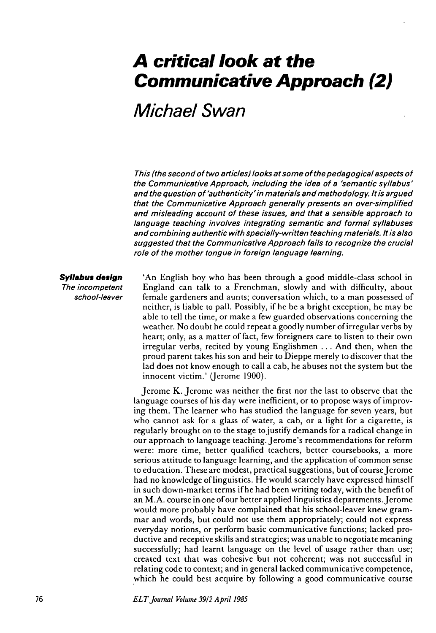# **A critical look at the Communicative Approach (2)**

## Michael Swan

This (the second of two articles) looks at some of the pedagogical aspects of the Communicative Approach, including the idea of a 'semantic syllabus' and the question of 'authenticity' in materials and methodology. It is argued that the Communicative Approach generally presents an over-simplified and misleading account of these issues, and that a sensible approach to language teaching involves integrating semantic and formal syllabuses and combining authentic with specially-written teaching materials. It is also suggested that the Communicative Approach fails to recognize the crucial role of the mother tongue in foreign language learning.

### **Syllabus design**

The incompetent school-leaver 'An English boy who has been through a good middle-class school in England can talk to a Frenchman, slowly and with difficulty, about female gardeners and aunts; conversation which, to a man possessed of neither, is liable to pall. Possibly, if he be a bright exception, he may be able to tell the time, or make a few guarded observations concerning the weather. No doubt he could repeat a goodly number of irregular verbs by heart; only, as a matter of fact, few foreigners care to listen to their own irregular verbs, recited by young Englishmen .. . And then, when the proud parent takes his son and heir to Dieppe merely to discover that the lad does not know enough to call a cab, he abuses not the system but the innocent victim.' (Jerome 1900).

Jerome K. Jerome was neither the first nor the last to observe that the language courses of his day were inefficient, or to propose ways of improving them. The learner who has studied the language for seven years, but who cannot ask for a glass of water, a cab, or a light for a cigarette, is regularly brought on to the stage to justify demands for a radical change in our approach to language teaching. Jerome's recommendations for reform were: more time, better qualified teachers, better coursebooks, a more serious attitude to language learning, and the application of common sense to education. These are modest, practical suggestions, but of course Jerome had no knowledge of linguistics. He would scarcely have expressed himself in such down-market terms if he had been writing today, with the benefit of an M.A. course in one of our better applied linguistics departments. Jerome would more probably have complained that his school-leaver knew grammar and words, but could not use them appropriately; could not express everyday notions, or perform basic communicative functions; lacked productive and receptive skills and strategies; was unable to negotiate meaning successfully; had learnt language on the level of usage rather than use; created text that was cohesive but not coherent; was not successful in relating code to context; and in general lacked communicative competence, which he could best acquire by following a good communicative course

*ELTJournal Volume 39/2 April 1985*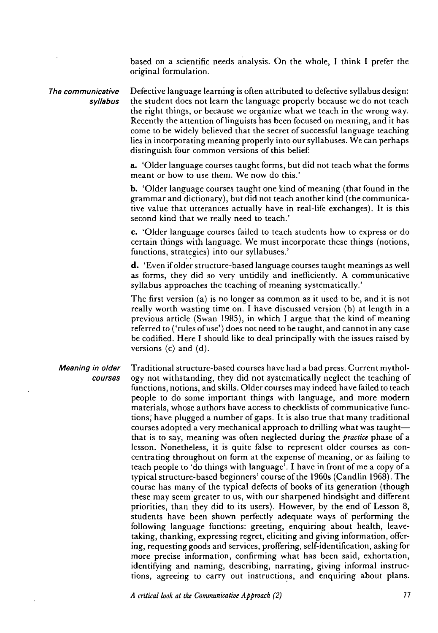based on a scientific needs analysis. On the whole, I think I prefer the original formulation.

The communicative syllabus Defective language learning is often attributed to defective syllabus design: the student does not learn the language properly because we do not teach the right things, or because we organize what we teach in the wrong way. Recently the attention of linguists has been focused on meaning, and it has come to be widely believed that the secret of successful language teaching lies in incorporating meaning properly into our syllabuses. We can perhaps

distinguish four common versions of this belief:

a. 'Older language courses taught forms, but did not teach what the forms meant or how to use them. We now do this.'

b. 'Older language courses taught one kind of meaning (that found in the grammar and dictionary), but did not teach another kind (the communicative value that utterances actually have in real-life exchanges). It is this second kind that we really need to teach.'

c. 'Older language courses failed to teach students how to express or do certain things with language. We must incorporate these things (notions, functions, strategies) into our syllabuses.'

d. 'Even if older structure-based language courses taught meanings as well as forms, they did so very untidily and inefficiently. A communicative syllabus approaches the teaching of meaning systematically.'

The first version (a) is no longer as common as it used to be, and it is not really worth wasting time on. I have discussed version (b) at length in a previous article (Swan 1985), in which I argue that the kind of meaning referred to ('rules of use') does not need to be taught, and cannot in any case be codified. Here I should like to deal principally with the issues raised by versions (c) and (d).

Meaning in older courses Traditional structure-based courses have had a bad press. Current mythology not withstanding, they did not systematically neglect the teaching of functions, notions, and skills. Older courses may indeed have failed to teach people to do some important things with language, and more modern materials, whose authors have access to checklists of communicative functions; have plugged a number of gaps. It is also true that many traditional courses adopted a very mechanical approach to drilling what was taught that is to say, meaning was often neglected during the *practice* phase of a lesson. Nonetheless, it is quite false to represent older courses as concentrating throughout on form at the expense of meaning, or as failing to teach people to 'do things with language'. I have in front of me a copy of a typical structure-based beginners' course of the 1960s (Candlin 1968). The course has many of the typical defects of books of its generation (though these may seem greater to us, with our sharpened hindsight and different priorities, than they did to its users). However, by the end of Lesson 8, students have been shown perfectly adequate ways of performing the following language functions: greeting, enquiring about health, leavetaking, thanking, expressing regret, eliciting and giving information, offering, requesting goods and services, proffering, self-identification, asking for more precise information, confirming what has been said, exhortation, identifying and naming, describing, narrating, giving informal instructions, agreeing to carry out instructions, and enquiring about plans.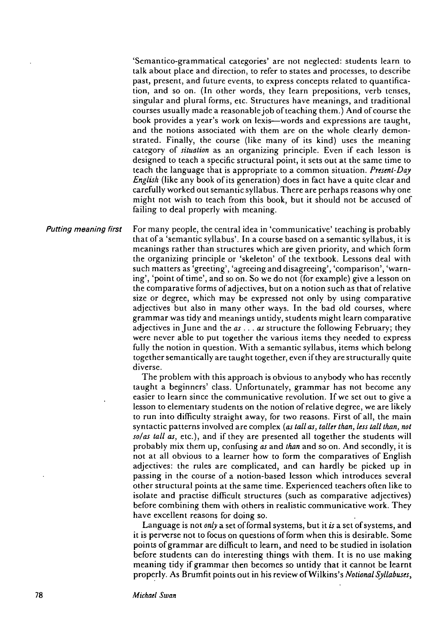'Semantico-grammatical categories' are not neglected: students learn to talk about place and direction, to refer to states and processes, to describe past, present, and future events, to express concepts related to quantification, and so on. (In other words, they learn prepositions, verb tenses, singular and plural forms, etc. Structures have meanings, and traditional courses usually made a reasonable job of teaching them.) And of course the book provides a year's work on lexis—words and expressions are taught, and the notions associated with them are on the whole clearly demonstrated. Finally, the course (like many of its kind) uses the meaning category of *situation* as an organizing principle. Even if each lesson is designed to teach a specific structural point, it sets out at the same time to teach the language that is appropriate to a common situation. *Present-Day English* (like any book of its generation) does in fact have a quite clear and carefully worked out semantic syllabus. There are perhaps reasons why one might not wish to teach from this book, but it should not be accused of failing to deal properly with meaning.

*Putting meaning first* For many people, the central idea in 'communicative' teaching is probably that of a 'semantic syllabus'. In a course based on a semantic syllabus, it is meanings rather than structures which are given priority, and which form the organizing principle or 'skeleton' of the textbook. Lessons deal with such matters as 'greeting', 'agreeing and disagreeing', 'comparison', 'warning', 'point of time', and so on. So we do not (for example) give a lesson on the comparative forms of adjectives, but on a notion such as that of relative size or degree, which may be expressed not only by using comparative adjectives but also in many other ways. In the bad old courses, where grammar was tidy and meanings untidy, students might learn comparative adjectives in June and the *as ... as* structure the following February; they were never able to put together the various items they needed to express fully the notion in question. With a semantic syllabus, items which belong together semantically are taught together, even if they are structurally quite diverse.

The problem with this approach is obvious to anybody who has recently taught a beginners' class. Unfortunately, grammar has not become any easier to learn since the communicative revolution. If we set out to give a lesson to elementary students on the notion of relative degree, we are likely to run into difficulty straight away, for two reasons. First of all, the main syntactic patterns involved are complex *(as tall as, taller than, less tall than, not solas tall as,* etc.), and if they are presented all together the students will probably mix them up, confusing *as* and *than* and so on. And secondly, it is not at all obvious to a learner how to form the comparatives of English adjectives: the rules are complicated, and can hardly be picked up in passing in the course of a notion-based lesson which introduces several other structural points at the same time. Experienced teachers often like to isolate and practise difficult structures (such as comparative adjectives) before combining them with others in realistic communicative work. They have excellent reasons for doing so.

Language is not *only* a set of formal systems, but it *is* a set of systems, and it is perverse not to focus on questions of form when this is desirable. Some points of grammar are difficult to learn, and need to be studied in isolation before students can do interesting things with them. It is no use making meaning tidy if grammar then becomes so untidy that it cannot be learnt properly. As Brumfit points out in his review ofWilkins's *Notional Syllabuses,*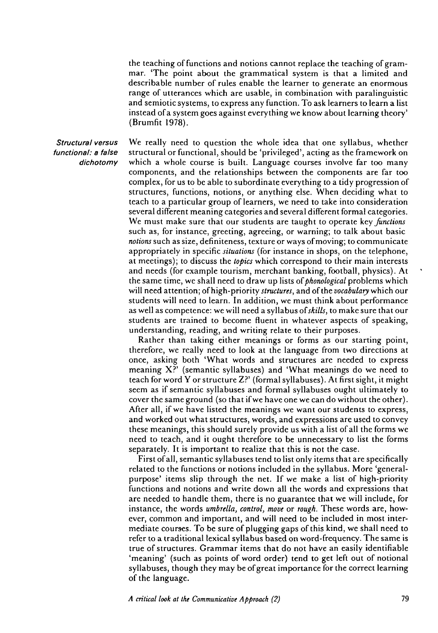the teaching of functions and notions cannot replace the teaching of grammar. 'The point about the grammatical system is that a limited and describable number of rules enable the learner to generate an enormous range of utterances which are usable, in combination with paralinguistic and semiotic systems, to express any function. To ask learners to learn a list instead of a system goes against everything we know about learning theory' (Brumfit 1978).

Structural versus functional: a false dichotomy

We really need to question the whole idea that one syllabus, whether structural or functional, should be 'privileged', acting as the framework on which a whole course is built. Language courses involve far too many components, and the relationships between the components are far too complex, for us to be able to subordinate everything to a tidy progression of structures, functions, notions, or anything else. When deciding what to teach to a particular group of learners, we need to take into consideration several different meaning categories and several different formal categories. We must make sure that our students are taught to operate *key junctions* such as, for instance, greeting, agreeing, or warning; to talk about basic *notions* such as size, definiteness, texture or ways of moving; to communicate appropriately in specific *situations* (for instance in shops, on the telephone, at meetings); to discuss the *topics* which correspond to their main interests and needs (for example tourism, merchant banking, football, physics). At the same time, we shall need to draw up lists *of phonological* problems which will need attention; of high-priority *structures,* and of the *vocabulary* which our students will need to learn. In addition, we must think about performance as well as competence: we will need a syllabus *of skills,* to make sure that our students are trained to become fluent in whatever aspects of speaking, understanding, reading, and writing relate to their purposes.

Rather than taking either meanings or forms as our starting point, therefore, we really need to look at the language from two directions at once, asking both 'What words and structures are needed to express meaning X?' (semantic syllabuses) and 'What meanings do we need to teach for word Y or structure Z?' (formal syllabuses). At first sight, it might seem as if semantic syllabuses and formal syllabuses ought ultimately to cover the same ground (so that if we have one we can do without the other). After all, if we have listed the meanings we want our students to express, and worked out what structures, words, and expressions are used to convey these meanings, this should surely provide us with a list of all the forms we need to teach, and it ought therefore to be unnecessary to list the forms separately. It is important to realize that this is not the case.

First of all, semantic syllabuses tend to list only items that are specifically related to the functions or notions included in the syllabus. More 'generalpurpose' items slip through the net. If we make a list of high-priority functions and notions and write down all the words and expressions that are needed to handle them, there is no guarantee that we will include, for instance, the words *umbrella, control, move* or *rough.* These words are, however, common and important, and will need to be included in most intermediate courses. To be sure of plugging gaps of this kind, we shall need to refer to a traditional lexical syllabus based on word-frequency. The same is true of structures. Grammar items that do not have an easily identifiable 'meaning' (such as points of word order) tend to get left out of notional syllabuses, though they may be of great importance for the correct learning of the language.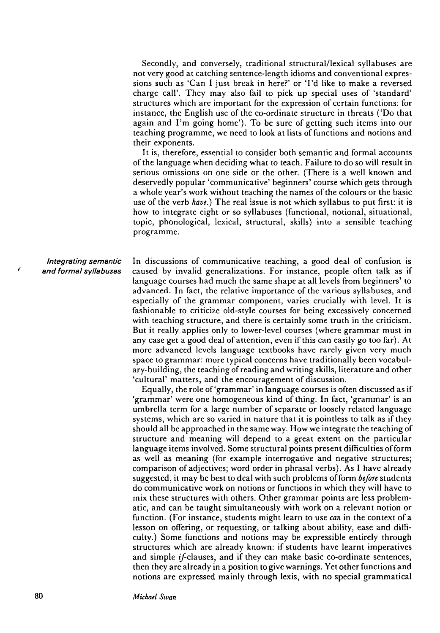Secondly, and conversely, traditional structural/lexical syllabuses are not very good at catching sentence-length idioms and conventional expressions such as 'Can I just break in here?' or 'I'd like to make a reversed charge call'. They may also fail to pick up special uses of 'standard' structures which are important for the expression of certain functions: for instance, the English use of the co-ordinate structure in threats ('Do that again and I'm going home'). To be sure of getting such items into our teaching programme, we need to look at lists of functions and notions and their exponents.

It is, therefore, essential to consider both semantic and formal accounts of the language when deciding what to teach. Failure to do so will result in serious omissions on one side or the other. (There is a well known and deservedly popular 'communicative' beginners' course which gets through a whole year's work without teaching the names of the colours or the basic use of the verb *have.)* The real issue is not which syllabus to put first: it is how to integrate eight or so syllabuses (functional, notional, situational, topic, phonological, lexical, structural, skills) into a sensible teaching programme.

*Integrating semantic* In discussions of communicative teaching, a good deal of confusion is *and formal syllabuses* caused by invalid generalizations. For instance, people often talk as if language courses had much the same shape at all levels from beginners' to advanced. In fact, the relative importance of the various syllabuses, and especially of the grammar component, varies crucially with level. It is fashionable to criticize old-style courses for being excessively concerned with teaching structure, and there is certainly some truth in the criticism. But it really applies only to lower-level courses (where grammar must in any case get a good deal of attention, even if this can easily go too far). At more advanced levels language textbooks have rarely given very much space to grammar: more typical concerns have traditionally been vocabulary-building, the teaching of reading and writing skills, literature and other 'cultural' matters, and the encouragement of discussion.

Equally, the role of'grammar' in language courses is often discussed as if 'grammar' were one homogeneous kind of thing. In fact, 'grammar' is an umbrella term for a large number of separate or loosely related language systems, which are so varied in nature that it is pointless to talk as if they should all be approached in the same way. How we integrate the teaching of structure and meaning will depend to a great extent on the particular language items involved. Some structural points present difficulties of form as well as meaning (for example interrogative and negative structures; comparison of adjectives; word order in phrasal verbs). As I have already suggested, it may be best to deal with such problems of form *before* students do communicative work on notions or functions in which they will have to mix these structures with others. Other grammar points are less problematic, and can be taught simultaneously with work on a relevant notion or function. (For instance, students might learn to use *can* in the context of a lesson on offering, or requesting, or talking about ability, ease and difficulty.) Some functions and notions may be expressible entirely through structures which are already known: if students have learnt imperatives and simple  $if$ -clauses, and if they can make basic co-ordinate sentences, then they are already in a position to give warnings. Yet other functions and notions are expressed mainly through lexis, with no special grammatical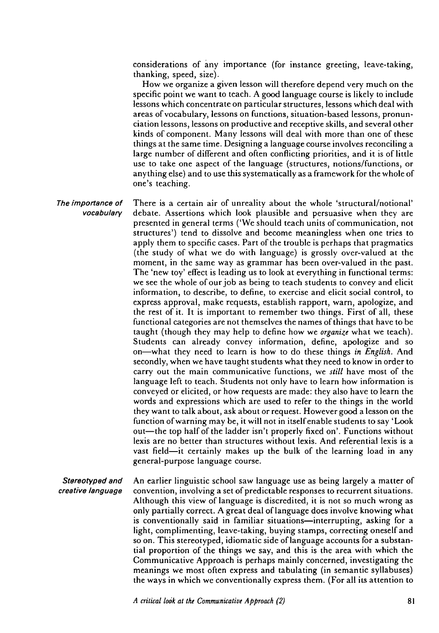considerations of any importance (for instance greeting, leave-taking, thanking, speed, size).

How we organize a given lesson will therefore depend very much on the specific point we want to teach. A good language course is likely to include lessons which concentrate on particular structures, lessons which deal with areas of vocabulary, lessons on functions, situation-based lessons, pronunciation lessons, lessons on productive and receptive skills, and several other kinds of component. Many lessons will deal with more than one of these things at the same time. Designing a language course involves reconciling a large number of different and often conflicting priorities, and it is of little use to take one aspect of the language (structures, notions/functions, or anything else) and to use this systematically as a framework for the whole of one's teaching.

The importance of vocabulary There is a certain air of unreality about the whole 'structural/notional' debate. Assertions which look plausible and persuasive when they are presented in general terms ('We should teach units of communication, not structures') tend to dissolve and become meaningless when one tries to apply them to specific cases. Part of the trouble is perhaps that pragmatics (the study of what we do with language) is grossly over-valued at the moment, in the same way as grammar has been over-valued in the past. The 'new toy' effect is leading us to look at everything in functional terms: we see the whole of our job as being to teach students to convey and elicit information, to describe, to define, to exercise and elicit social control, to express approval, make requests, establish rapport, warn, apologize, and the rest of it. It is important to remember two things. First of all, these functional categories are not themselves the names of things that have to be taught (though they may help to define how we *organize* what we teach). Students can already convey information, define, apologize and so on—what they need to learn is how to do these things *in English.* And secondly, when we have taught students what they need to know in order to carry out the main communicative functions, we *still* have most of the language left to teach. Students not only have to learn how information is conveyed or elicited, or how requests are made: they also have to learn the words and expressions which are used to refer to the things in the world they want to talk about, ask about or request. However good a lesson on the function of warning may be, it will not in itself enable students to say 'Look out—the top half of the ladder isn't properly fixed on'. Functions without lexis are no better than structures without lexis. And referential lexis is a vast field—it certainly makes up the bulk of the learning load in any general-purpose language course.

Stereotyped and creative language An earlier linguistic school saw language use as being largely a matter of convention, involving a set of predictable responses to recurrent situations. Although this view of language is discredited, it is not so much wrong as only partially correct. A great deal of language does involve knowing what is conventionally said in familiar situations—interrupting, asking for a light, complimenting, leave-taking, buying stamps, correcting oneself and so on. This stereotyped, idiomatic side of language accounts for a substantial proportion of the things we say, and this is the area with which the Communicative Approach is perhaps mainly concerned, investigating the meanings we most often express and tabulating (in semantic syllabuses) the ways in which we conventionally express them. (For all its attention to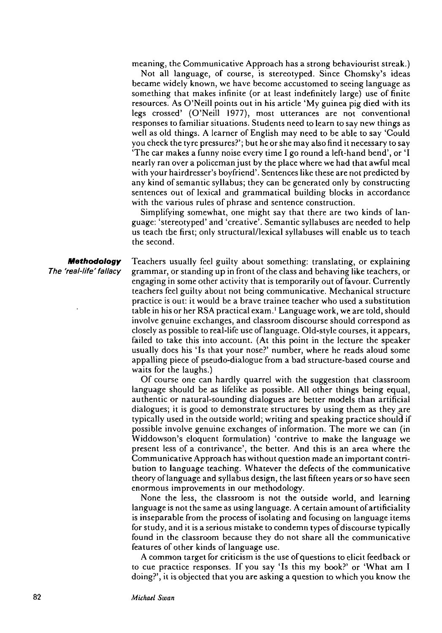meaning, the Communicative Approach has a strong behaviourist streak.)

Not all language, of course, is stereotyped. Since Chomsky's ideas became widely known, we have become accustomed to seeing language as something that makes infinite (or at least indefinitely large) use of finite resources. As O'Neill points out in his article 'My guinea pig died with its legs crossed' (O'Neill 1977), most utterances are not conventional responses to familiar situations. Students need to learn to say new things as well as old things. A learner of English may need to be able to say 'Could you check the tyre pressures?'; but he or she may also find it necessary to say 'The car makes a funny noise every time I go round a left-hand bend', or 'I nearly ran over a policeman just by the place where we had that awful meal with your hairdresser's boyfriend'. Sentences like these are not predicted by any kind of semantic syllabus; they can be generated only by constructing sentences out of lexical and grammatical building blocks in accordance with the various rules of phrase and sentence construction.

Simplifying somewhat, one might say that there are two kinds of language: 'stereotyped' and 'creative'. Semantic syllabuses are needed to help us teach the first; only structural/lexical syllabuses will enable us to teach the second.

*Methodology* Teachers usually feel guilty about something: translating, or explaining *The 'real-life' fallacy* grammar, or standing up in front of the class and behaving like teachers, or engaging in some other activity that is temporarily out of favour. Currently teachers feel guilty about not being communicative. Mechanical structure practice is out: it would be a brave trainee teacher who used a substitution table in his or her RSA practical exam.' Language work, we are told, should involve genuine exchanges, and classroom discourse should correspond as closely as possible to real-life use of language. Old-style courses, it appears, failed to take this into account. (At this point in the lecture the speaker usually does his 'Is that your nose?' number, where he reads aloud some appalling piece of pseudo-dialogue from a bad structure-based course and waits for the laughs.)

Of course one can hardly quarrel with the suggestion that classroom language should be as lifelike as possible. All other things being equal, authentic or natural-sounding dialogues are better models than artificial dialogues; it is good to demonstrate structures by using them as they are typically used in the outside world; writing and speaking practice should if possible involve genuine exchanges of information. The more we can (in Widdowson's eloquent formulation) 'contrive to make the language we present less of a contrivance', the better. And this is an area where the Communicative Approach has without question made an important contribution to language teaching. Whatever the defects of the communicative theory of language and syllabus design, the last fifteen years or so have seen enormous improvements in our methodology.

None the less, the classroom is not the outside world, and learning language is not the same as using language. A certain amount of artificiality is inseparable from the process of isolating and focusing on language items for study, and it is a serious mistake to condemn types of discourse typically found in the classroom because they do not share all the communicative features of other kinds of language use.

A common target for criticism is the use of questions to elicit feedback or to cue practice responses. If you say 'Is this my book?' or 'What am I doing?', it is objected that you are asking a question to which you know the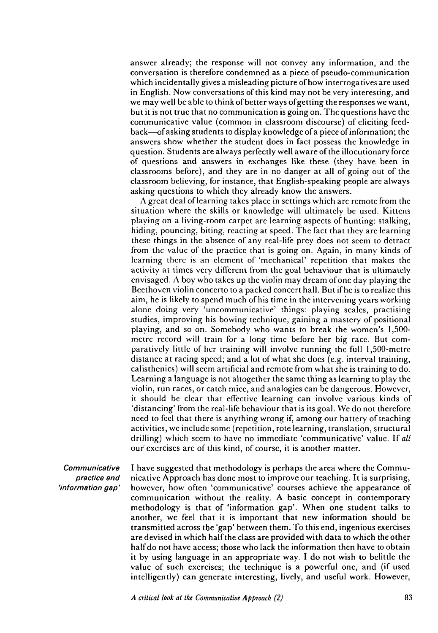answer already; the response will not convey any information, and the conversation is therefore condemned as a piece of pseudo-communication which incidentally gives a misleading picture of how interrogatives are used in English. Now conversations of this kind may not be very interesting, and we may well be able to think of better ways of getting the responses we want, but it is not true that no communication is going on. The questions have the communicative value (common in classroom discourse) of eliciting feedback—of asking students to display knowledge of a piece of information; the answers show whether the student does in fact possess the knowledge in question. Students are always perfectly well aware of the illocutionary force of questions and answers in exchanges like these (they have been in classrooms before), and they are in no danger at all of going out of the classroom believing, for instance, that English-speaking people are always asking questions to which they already know the answers.

A great deal of learning takes place in settings which arc remote from the situation where the skills or knowledge will ultimately be used. Kittens playing on a living-room carpet are learning aspects of hunting: stalking, hiding, pouncing, biting, reacting at speed. The fact that they arc learning these things in the absence of any real-life prey does not seem to detract from the value of the practice that is going on. Again, in many kinds of learning there is an clement of 'mechanical' repetition that makes the activity at times very different from the goal behaviour that is ultimately envisaged. A boy who takes up the violin may dream of one day playing the Beethoven violin concerto to a packed concert hall. But if he is to realize this aim, he is likely to spend much of his time in the intervening years working alone doing very 'uncommunicative' things: playing scales, practising studies, improving his bowing technique, gaining a mastery of positional playing, and so on. Somebody who wants to break the women's 1,500 mctrc record will train for a long time before her big race. But comparatively little of her training will involve running the full 1,500-mctrc distance at racing speed; and a lot of what she does (e.g. interval training, calisthenics) will seem artificial and remote from what she is training to do. Learning a language is not altogether the same thing as learning to play the violin, run races, or catch mice, and analogies can be dangerous. However, it should be clear that effective learning can involve various kinds of 'distancing' from the real-life behaviour that is its goal. We do not therefore need to feel that there is anything wrong if, among our battery of teaching activities, we include some (repetition, rote learning, translation, structural drilling) which seem to have no immediate 'communicative' value. If *all* our exercises are of this kind, of course, it is another matter.

**Communicative** practice and 'information gap' I have suggested that methodology is perhaps the area where the Communicative Approach has done most to improve our teaching. It is surprising, however, how often 'communicative' courses achieve the appearance of communication without the reality. A basic concept in contemporary methodology is that of 'information gap'. When one student talks to another, we feel that it is important that new information should be transmitted across tbe 'gap' between them. To this end, ingenious exercises are devised in which half the class are provided with data to which the other half do not have access; those who lack the information then have to obtain it by using language in an appropriate way. I do not wish to belittle the value of such exercises; the technique is a powerful one, and (if used intelligently) can generate interesting, lively, and useful work. However,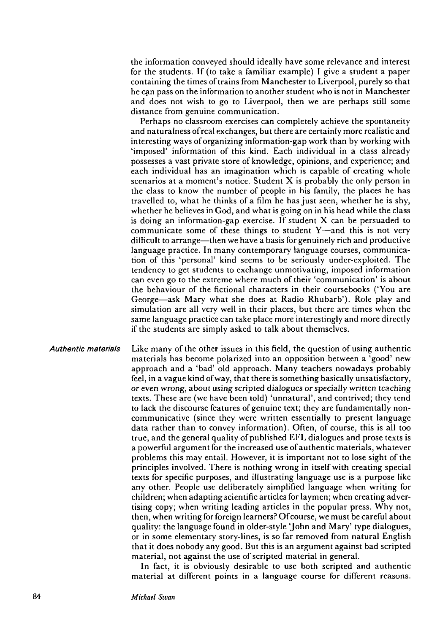the information conveyed should ideally have some relevance and interest for the students. If (to take a familiar example) I give a student a paper containing the times of trains from Manchester to Liverpool, purely so that he can pass on the information to another student who is not in Manchester and does not wish to go to Liverpool, then we are perhaps still some distance from genuine communication.

Perhaps no classroom exercises can completely achieve the spontaneity and naturalness of real exchanges, but there are certainly more realistic and interesting ways of organizing information-gap work than by working with 'imposed' information of this kind. Each individual in a class already possesses a vast private store of knowledge, opinions, and experience; and each individual has an imagination which is capable of creating whole scenarios at a moment's notice. Student X is probably the only person in the class to know the number of people in his family, the places he has travelled to, what he thinks of a film he has just seen, whether he is shy, whether he believes in God, and what is going on in his head while the class is doing an information-gap exercise. If student X can be persuaded to communicate some of these things to student Y—and this is not very difficult to arrange—then we have a basis for genuinely rich and productive language practice. In many contemporary language courses, communication of this 'personal' kind seems to be seriously under-exploited. The tendency to get students to exchange unmotivating, imposed information can even go to the extreme where much of their 'communication' is about the behaviour of the fictional characters in their coursebooks ('You are George—ask Mary what she does at Radio Rhubarb'). Role play and simulation are all very well in their places, but there are times when the same language practice can take place more interestingly and more directly if the students are simply asked to talk about themselves.

*Authentic materials* Like many of the other issues in this field, the question of using authentic materials has become polarized into an opposition between a 'good' new approach and a 'bad' old approach. Many teachers nowadays probably feel, in a vague kind of way, that there is something basically unsatisfactory, or even wrong, about using scripted dialogues or specially written teaching texts. These are (we have been told) 'unnatural', and contrived; they tend to lack the discourse features of genuine text; they are fundamentally noncommunicative (since they were written essentially to present language data rather than to convey information). Often, of course, this is all too true, and the general quality of published EFL dialogues and prose texts is a powerful argument for the increased use of authentic materials, whatever problems this may entail. However, it is important not to lose sight of the principles involved. There is nothing wrong in itself with creating special texts for specific purposes, and illustrating language use is a purpose like any other. People use deliberately simplified language when writing for children; when adapting scientific articles for laymen; when creating advertising copy; when writing leading articles in the popular press. Why not, then, when writing for foreign learners? Of course, we must be careful about quality: the language found in older-style 'John and Mary' type dialogues, or in some elementary story-lines, is so far removed from natural English that it does nobody any good. But this is an argument against bad scripted material, not against the use of scripted material in general.

> In fact, it is obviously desirable to use both scripted and authentic material at different points in a language course for different reasons.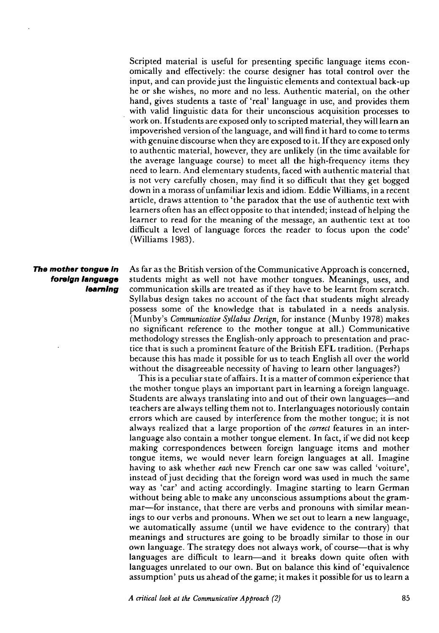Scripted material is useful for presenting specific language items economically and effectively: the course designer has total control over the input, and can provide just the linguistic elements and contextual back-up he or she wishes, no more and no less. Authentic material, on the other hand, gives students a taste of 'real' language in use, and provides them with valid linguistic data for their unconscious acquisition processes to work on. If students are exposed only to scripted material, they will learn an impoverished version of the language, and will find it hard to come to terms with genuine discourse when they are exposed to it. If they are exposed only to authentic material, however, they are unlikely (in the time available for the average language course) to meet all the high-frequency items they need to learn. And elementary students, faced with authentic material that is not very carefully chosen, may find it so difficult that they get bogged down in a morass of unfamiliar lexis and idiom. Eddie Williams, in a recent article, draws attention to 'the paradox that the use of authentic text with learners often has an effect opposite to that intended; instead of helping the learner to read for the meaning of the message, an authentic text at too difficult a level of language forces the reader to focus upon the code' (Williams 1983).

### **The mother tongue In foreign language** *learning*

As far as the British version of the Communicative Approach is concerned, students might as well not have mother tongues. Meanings, uses, and communication skills are treated as if they have to be learnt from scratch. Syllabus design takes no account of the fact that students might already possess some of the knowledge that is tabulated in a needs analysis. (Munby's *Communicative Syllabus Design,* for instance (Munby 1978) makes no significant reference to the mother tongue at all.) Communicative methodology stresses the English-only approach to presentation and practice that is such a prominent feature of the British EFL tradition. (Perhaps because this has made it possible for us to teach English all over the world without the disagreeable necessity of having to learn other languages?)

This is a peculiar state of affairs. It is a matter of common experience that the mother tongue plays an important part in learning a foreign language. Students are always translating into and out of their own languages—and teachers are always telling them not to. Interlanguages notoriously contain errors which are caused by interference from the mother tongue; it is not always realized that a large proportion of the *correct* features in an interlanguage also contain a mother tongue element. In fact, if we did not keep making correspondences between foreign language items and mother tongue items, we would never learn foreign languages at all. Imagine having to ask whether *each* new French car one saw was called 'voiture', instead of just deciding that the foreign word was used in much the same way as 'car' and acting accordingly. Imagine starting to learn German without being able to make any unconscious assumptions about the grammar—for instance, that there are verbs and pronouns with similar meanings to our verbs and pronouns. When we set out to learn a new language, we automatically assume (until we have evidence to the contrary) that meanings and structures are going to be broadly similar to those in our own language. The strategy does not always work, of course—that is why languages are difficult to learn—and it breaks down quite often with languages unrelated to our own. But on balance this kind of'equivalence assumption' puts us ahead of the game; it makes it possible for us to learn a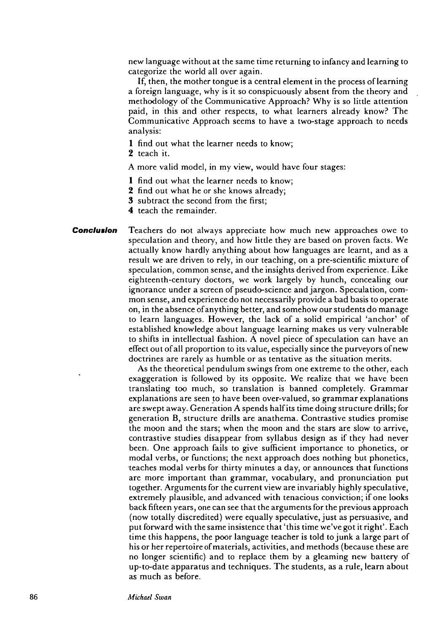new language without at the same time returning to infancy and learning to categorize the world all over again.

If, then, the mother tongue is a central element in the process of learning a foreign language, why is it so conspicuously absent from the theory and methodology of the Communicative Approach? Why is so little attention paid, in this and other respects, to what learners already know? The Communicative Approach seems to have a two-stage approach to needs analysis:

- 1 find out what the learner needs to know;
- 2 teach it.

A more valid model, in my view, would have four stages:

- 1 find out what the learner needs to know;
- 2 find out what he or she knows already;
- 3 subtract the second from the first;
- *4* teach the remainder.

*Conclusion* Teachers do not always appreciate how much new approaches owe to speculation and theory, and how little they are based on proven facts. We actually know hardly anything about how languages are learnt, and as a result we are driven to rely, in our teaching, on a pre-scientific mixture of speculation, common sense, and the insights derived from experience. Like eighteenth-century doctors, we work largely by hunch, concealing our ignorance under a screen of pseudo-science and jargon. Speculation, common sense, and experience do not necessarily provide a bad basis to operate on, in the absence of anything better, and somehow our students do manage to learn languages. However, the lack of a solid empirical 'anchor' of established knowledge about language learning makes us very vulnerable to shifts in intellectual fashion. A novel piece of speculation can have an effect out of all proportion to its value, especially since the purveyors of new doctrines are rarely as humble or as tentative as the situation merits.

As the theoretical pendulum swings from one extreme to the other, each exaggeration is followed by its opposite. We realize that we have been translating too much, so translation is banned completely. Grammar explanations are seen to have been over-valued, so grammar explanations are swept away. Generation A spends half its time doing structure drills; for generation B, structure drills are anathema. Contrastive studies promise the moon and the stars; when the moon and the stars are slow to arrive, contrastive studies disappear from syllabus design as if they had never been. One approach fails to give sufficient importance to phonetics, or modal verbs, or functions; the next approach does nothing but phonetics, •teaches modal verbs for thirty minutes a day, or announces that functions are more important than grammar, vocabulary, and pronunciation put together. Arguments for the current view are invariably highly speculative, extremely plausible, and advanced with tenacious conviction; if one looks back fifteen years, one can see that the arguments for the previous approach (now totally discredited) were equally speculative, just as persuasive, and put forward with the same insistence that 'this time we've got it right'. Each time this happens, the poor language teacher is told to junk a large part of his or her repertoire of materials, activities, and methods (because these are no longer scientific) and to replace them by a gleaming new battery of up-to-date apparatus and techniques. The students, as a rule, learn about as much as before.